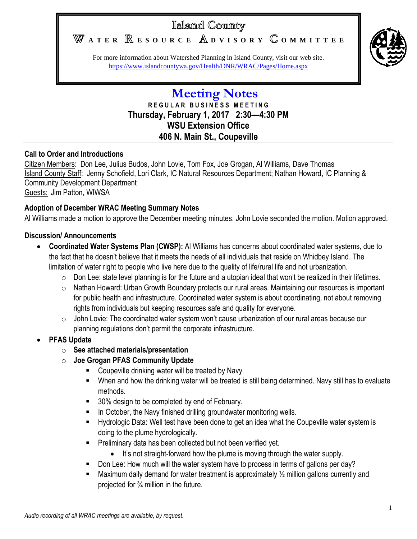# Islamd County

WATER **RESOURCE** ADVISORY COMMITTEE



For more information about Watershed Planning in Island County, visit our web site. <https://www.islandcountywa.gov/Health/DNR/WRAC/Pages/Home.aspx>

## **Meeting Notes R E G U L A R B U S I N E S S M E E T I N G Thursday, February 1, 2017 2:30—4:30 PM WSU Extension Office 406 N. Main St., Coupeville**

#### **Call to Order and Introductions**

Citizen Members: Don Lee, Julius Budos, John Lovie, Tom Fox, Joe Grogan, Al Williams, Dave Thomas Island County Staff: Jenny Schofield, Lori Clark, IC Natural Resources Department; Nathan Howard, IC Planning & Community Development Department Guests: Jim Patton, WIWSA

#### **Adoption of December WRAC Meeting Summary Notes**

Al Williams made a motion to approve the December meeting minutes. John Lovie seconded the motion. Motion approved.

#### **Discussion/ Announcements**

- **Coordinated Water Systems Plan (CWSP):** Al Williams has concerns about coordinated water systems, due to the fact that he doesn't believe that it meets the needs of all individuals that reside on Whidbey Island. The limitation of water right to people who live here due to the quality of life/rural life and not urbanization.
	- $\circ$  Don Lee: state level planning is for the future and a utopian ideal that won't be realized in their lifetimes.
	- o Nathan Howard: Urban Growth Boundary protects our rural areas. Maintaining our resources is important for public health and infrastructure. Coordinated water system is about coordinating, not about removing rights from individuals but keeping resources safe and quality for everyone.
	- $\circ$  John Lovie: The coordinated water system won't cause urbanization of our rural areas because our planning regulations don't permit the corporate infrastructure.

## **PFAS Update**

- o **See attached materials/presentation**
- o **Joe Grogan PFAS Community Update**
	- **EXECOUPEVALLE DRIGHT COUPEVALLE COUPEVALLE** OUTPUBLE **COUPEVALLE**
	- When and how the drinking water will be treated is still being determined. Navy still has to evaluate methods.
	- 30% design to be completed by end of February.
	- In October, the Navy finished drilling groundwater monitoring wells.
	- **Hydrologic Data: Well test have been done to get an idea what the Coupeville water system is** doing to the plume hydrologically.
	- **Preliminary data has been collected but not been verified yet.** 
		- It's not straight-forward how the plume is moving through the water supply.
	- Don Lee: How much will the water system have to process in terms of gallons per day?
	- $\blacksquare$  Maximum daily demand for water treatment is approximately  $\frac{1}{2}$  million gallons currently and projected for ¾ million in the future.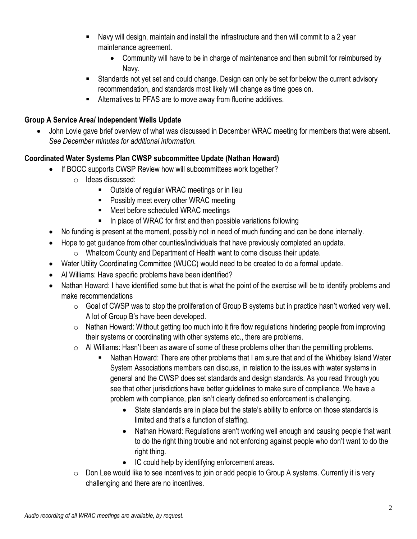- Navy will design, maintain and install the infrastructure and then will commit to a 2 year maintenance agreement.
	- Community will have to be in charge of maintenance and then submit for reimbursed by Navy.
- Standards not yet set and could change. Design can only be set for below the current advisory recommendation, and standards most likely will change as time goes on.
- Alternatives to PFAS are to move away from fluorine additives.

#### **Group A Service Area/ Independent Wells Update**

 John Lovie gave brief overview of what was discussed in December WRAC meeting for members that were absent. *See December minutes for additional information.*

## **Coordinated Water Systems Plan CWSP subcommittee Update (Nathan Howard)**

- If BOCC supports CWSP Review how will subcommittees work together?
	- o Ideas discussed:
		- Outside of regular WRAC meetings or in lieu
		- Possibly meet every other WRAC meeting
		- Meet before scheduled WRAC meetings
		- $\blacksquare$  In place of WRAC for first and then possible variations following
- No funding is present at the moment, possibly not in need of much funding and can be done internally.
- Hope to get guidance from other counties/individuals that have previously completed an update.
	- o Whatcom County and Department of Health want to come discuss their update.
- Water Utility Coordinating Committee (WUCC) would need to be created to do a formal update.
- Al Williams: Have specific problems have been identified?
- Nathan Howard: I have identified some but that is what the point of the exercise will be to identify problems and make recommendations
	- $\circ$  Goal of CWSP was to stop the proliferation of Group B systems but in practice hasn't worked very well. A lot of Group B's have been developed.
	- $\circ$  Nathan Howard: Without getting too much into it fire flow regulations hindering people from improving their systems or coordinating with other systems etc., there are problems.
	- $\circ$  Al Williams: Hasn't been as aware of some of these problems other than the permitting problems.
		- Nathan Howard: There are other problems that I am sure that and of the Whidbey Island Water System Associations members can discuss, in relation to the issues with water systems in general and the CWSP does set standards and design standards. As you read through you see that other jurisdictions have better guidelines to make sure of compliance. We have a problem with compliance, plan isn't clearly defined so enforcement is challenging.
			- State standards are in place but the state's ability to enforce on those standards is limited and that's a function of staffing.
			- Nathan Howard: Regulations aren't working well enough and causing people that want to do the right thing trouble and not enforcing against people who don't want to do the right thing.
			- IC could help by identifying enforcement areas.
	- $\circ$  Don Lee would like to see incentives to join or add people to Group A systems. Currently it is very challenging and there are no incentives.